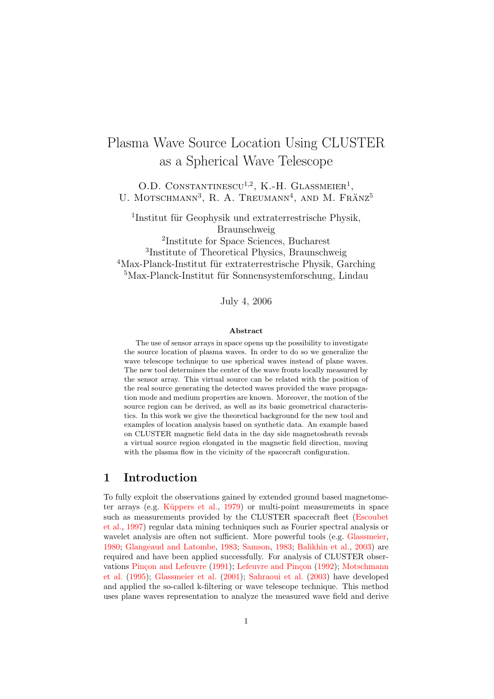# Plasma Wave Source Location Using CLUSTER as a Spherical Wave Telescope

O.D. CONSTANTINESCU<sup>1,2</sup>, K.-H. GLASSMEIER<sup>1</sup>, U. MOTSCHMANN<sup>3</sup>, R. A. TREUMANN<sup>4</sup>, AND M. FRÄNZ<sup>5</sup>

<sup>1</sup>Institut für Geophysik und extraterrestrische Physik, Braunschweig

 Institute for Space Sciences, Bucharest Institute of Theoretical Physics, Braunschweig Max-Planck-Institut für extraterrestrische Physik, Garching Max-Planck-Institut für Sonnensystemforschung, Lindau

July 4, 2006

#### Abstract

The use of sensor arrays in space opens up the possibility to investigate the source location of plasma waves. In order to do so we generalize the wave telescope technique to use spherical waves instead of plane waves. The new tool determines the center of the wave fronts locally measured by the sensor array. This virtual source can be related with the position of the real source generating the detected waves provided the wave propagation mode and medium properties are known. Moreover, the motion of the source region can be derived, as well as its basic geometrical characteristics. In this work we give the theoretical background for the new tool and examples of location analysis based on synthetic data. An example based on CLUSTER magnetic field data in the day side magnetosheath reveals a virtual source region elongated in the magnetic field direction, moving with the plasma flow in the vicinity of the spacecraft configuration.

### 1 Introduction

To fully exploit the observations gained by extended ground based magnetometer arrays (e.g. Küppers et al.,  $1979$ ) or multi-point measurements in space such as measurements provided by the CLUSTER spacecraft fleet [\(Escoubet](#page-22-1) [et al.,](#page-22-1) [1997\)](#page-22-1) regular data mining techniques such as Fourier spectral analysis or wavelet analysis are often not sufficient. More powerful tools (e.g. [Glassmeier,](#page-22-2) [1980;](#page-22-2) [Glangeaud and Latombe,](#page-22-3) [1983;](#page-22-3) [Samson,](#page-23-0) [1983;](#page-23-0) [Balikhin et al.,](#page-21-0) [2003\)](#page-21-0) are required and have been applied successfully. For analysis of CLUSTER obser-vations Pinçon and Lefeuvre [\(1991\)](#page-22-4); Lefeuvre and Pinçon [\(1992\)](#page-22-5); [Motschmann](#page-22-6) [et al.](#page-22-6) [\(1995\)](#page-22-6); [Glassmeier et al.](#page-22-7) [\(2001\)](#page-22-7); [Sahraoui et al.](#page-23-1) [\(2003\)](#page-23-1) have developed and applied the so-called k-filtering or wave telescope technique. This method uses plane waves representation to analyze the measured wave field and derive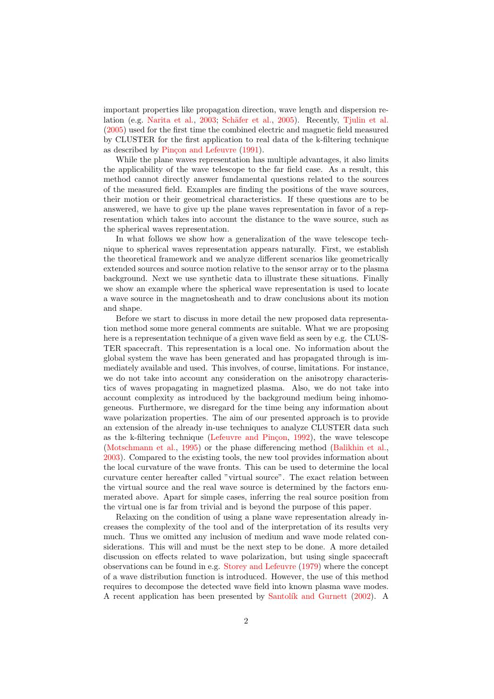important properties like propagation direction, wave length and dispersion re-lation (e.g. [Narita et al.,](#page-22-8) [2003;](#page-22-8) Schäfer et al., [2005\)](#page-23-2). Recently, [Tjulin et al.](#page-23-3) [\(2005\)](#page-23-3) used for the first time the combined electric and magnetic field measured by CLUSTER for the first application to real data of the k-filtering technique as described by Pinçon and Lefeuvre [\(1991\)](#page-22-4).

While the plane waves representation has multiple advantages, it also limits the applicability of the wave telescope to the far field case. As a result, this method cannot directly answer fundamental questions related to the sources of the measured field. Examples are finding the positions of the wave sources, their motion or their geometrical characteristics. If these questions are to be answered, we have to give up the plane waves representation in favor of a representation which takes into account the distance to the wave source, such as the spherical waves representation.

In what follows we show how a generalization of the wave telescope technique to spherical waves representation appears naturally. First, we establish the theoretical framework and we analyze different scenarios like geometrically extended sources and source motion relative to the sensor array or to the plasma background. Next we use synthetic data to illustrate these situations. Finally we show an example where the spherical wave representation is used to locate a wave source in the magnetosheath and to draw conclusions about its motion and shape.

Before we start to discuss in more detail the new proposed data representation method some more general comments are suitable. What we are proposing here is a representation technique of a given wave field as seen by e.g. the CLUS-TER spacecraft. This representation is a local one. No information about the global system the wave has been generated and has propagated through is immediately available and used. This involves, of course, limitations. For instance, we do not take into account any consideration on the anisotropy characteristics of waves propagating in magnetized plasma. Also, we do not take into account complexity as introduced by the background medium being inhomogeneous. Furthermore, we disregard for the time being any information about wave polarization properties. The aim of our presented approach is to provide an extension of the already in-use techniques to analyze CLUSTER data such as the k-filtering technique (Lefeuvre and Pinçon, [1992\)](#page-22-5), the wave telescope [\(Motschmann et al.,](#page-22-6) [1995\)](#page-22-6) or the phase differencing method [\(Balikhin et al.,](#page-21-0) [2003\)](#page-21-0). Compared to the existing tools, the new tool provides information about the local curvature of the wave fronts. This can be used to determine the local curvature center hereafter called "virtual source". The exact relation between the virtual source and the real wave source is determined by the factors enumerated above. Apart for simple cases, inferring the real source position from the virtual one is far from trivial and is beyond the purpose of this paper.

Relaxing on the condition of using a plane wave representation already increases the complexity of the tool and of the interpretation of its results very much. Thus we omitted any inclusion of medium and wave mode related considerations. This will and must be the next step to be done. A more detailed discussion on effects related to wave polarization, but using single spacecraft observations can be found in e.g. [Storey and Lefeuvre](#page-23-4) [\(1979\)](#page-23-4) where the concept of a wave distribution function is introduced. However, the use of this method requires to decompose the detected wave field into known plasma wave modes. A recent application has been presented by Santolík and Gurnett [\(2002\)](#page-23-5). A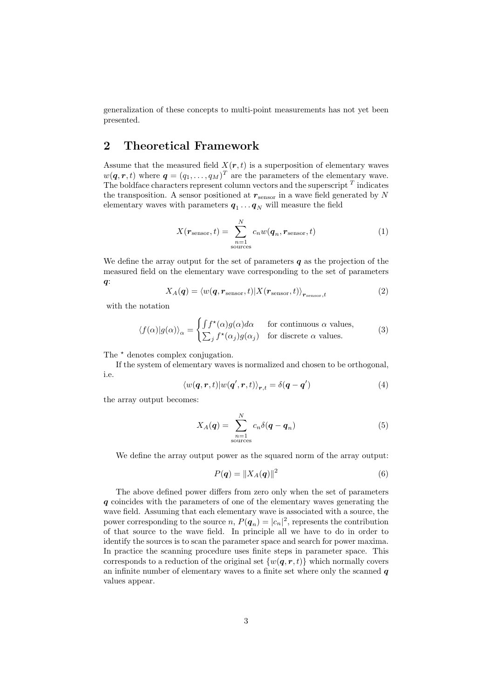generalization of these concepts to multi-point measurements has not yet been presented.

# 2 Theoretical Framework

Assume that the measured field  $X(r, t)$  is a superposition of elementary waves  $w(\boldsymbol{q},\boldsymbol{r},t)$  where  $\boldsymbol{q}=(q_1,\ldots,q_M)^T$  are the parameters of the elementary wave. The boldface characters represent column vectors and the superscript  $^T$  indicates the transposition. A sensor positioned at  $r_{\text{sensor}}$  in a wave field generated by N elementary waves with parameters  $q_1 \dots q_N$  will measure the field

$$
X(\mathbf{r}_{\text{sensor}}, t) = \sum_{\substack{n=1 \text{sources}}}^{N} c_n w(\mathbf{q}_n, \mathbf{r}_{\text{sensor}}, t)
$$
(1)

We define the array output for the set of parameters  $q$  as the projection of the measured field on the elementary wave corresponding to the set of parameters  $q$ :

$$
X_A(\boldsymbol{q}) = \langle w(\boldsymbol{q}, \boldsymbol{r}_{\text{sensor}}, t) | X(\boldsymbol{r}_{\text{sensor}}, t) \rangle_{\boldsymbol{r}_{\text{sensor}}, t}
$$
(2)

with the notation

$$
\langle f(\alpha)|g(\alpha)\rangle_{\alpha} = \begin{cases} \int f^{\star}(\alpha)g(\alpha)d\alpha & \text{for continuous } \alpha \text{ values,} \\ \sum_{j} f^{\star}(\alpha_{j})g(\alpha_{j}) & \text{for discrete } \alpha \text{ values.} \end{cases}
$$
 (3)

The  $\star$  denotes complex conjugation.

If the system of elementary waves is normalized and chosen to be orthogonal, i.e.

$$
\langle w(\mathbf{q},\mathbf{r},t)|w(\mathbf{q}',\mathbf{r},t)\rangle_{\mathbf{r},t} = \delta(\mathbf{q}-\mathbf{q}')\tag{4}
$$

the array output becomes:

<span id="page-2-1"></span>
$$
X_A(\boldsymbol{q}) = \sum_{\substack{n=1 \ \text{sources}}}^{N} c_n \delta(\boldsymbol{q} - \boldsymbol{q}_n) \tag{5}
$$

We define the array output power as the squared norm of the array output:

<span id="page-2-0"></span>
$$
P(q) = \|X_A(q)\|^2 \tag{6}
$$

The above defined power differs from zero only when the set of parameters q coincides with the parameters of one of the elementary waves generating the wave field. Assuming that each elementary wave is associated with a source, the power corresponding to the source  $n, P(\boldsymbol{q}_n) = |c_n|^2$ , represents the contribution of that source to the wave field. In principle all we have to do in order to identify the sources is to scan the parameter space and search for power maxima. In practice the scanning procedure uses finite steps in parameter space. This corresponds to a reduction of the original set  $\{w(\mathbf{q}, \mathbf{r}, t)\}\$  which normally covers an infinite number of elementary waves to a finite set where only the scanned  $q$ values appear.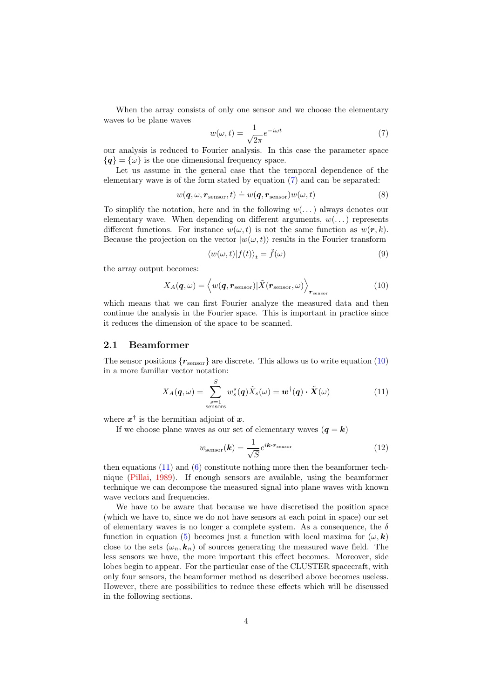When the array consists of only one sensor and we choose the elementary waves to be plane waves

<span id="page-3-0"></span>
$$
w(\omega, t) = \frac{1}{\sqrt{2\pi}} e^{-i\omega t}
$$
\n(7)

our analysis is reduced to Fourier analysis. In this case the parameter space  ${q} = {\omega}$  is the one dimensional frequency space.

Let us assume in the general case that the temporal dependence of the elementary wave is of the form stated by equation [\(7\)](#page-3-0) and can be separated:

$$
w(\mathbf{q}, \omega, \mathbf{r}_{\text{sensor}}, t) \doteq w(\mathbf{q}, \mathbf{r}_{\text{sensor}})w(\omega, t)
$$
\n(8)

To simplify the notation, here and in the following  $w(\ldots)$  always denotes our elementary wave. When depending on different arguments,  $w(\ldots)$  represents different functions. For instance  $w(\omega, t)$  is not the same function as  $w(r, k)$ . Because the projection on the vector  $|w(\omega, t)\rangle$  results in the Fourier transform

$$
\langle w(\omega, t) | f(t) \rangle_t = \tilde{f}(\omega) \tag{9}
$$

the array output becomes:

<span id="page-3-1"></span>
$$
X_A(\boldsymbol{q},\omega) = \langle w(\boldsymbol{q}, \boldsymbol{r}_{\text{sensor}}) | \tilde{X}(\boldsymbol{r}_{\text{sensor}}, \omega) \rangle_{\boldsymbol{r}_{\text{sensor}}} \tag{10}
$$

which means that we can first Fourier analyze the measured data and then continue the analysis in the Fourier space. This is important in practice since it reduces the dimension of the space to be scanned.

#### 2.1 Beamformer

The sensor positions  ${r_{\text{sensor}}}$  are discrete. This allows us to write equation [\(10\)](#page-3-1) in a more familiar vector notation:

<span id="page-3-2"></span>
$$
X_A(\boldsymbol{q},\omega) = \sum_{\substack{s=1 \text{ sensors}}}^S w_s^{\star}(\boldsymbol{q}) \tilde{X}_s(\omega) = \boldsymbol{w}^{\dagger}(\boldsymbol{q}) \cdot \tilde{\boldsymbol{X}}(\omega)
$$
(11)

where  $x^{\dagger}$  is the hermitian adjoint of x.

If we choose plane waves as our set of elementary waves  $(q = k)$ 

<span id="page-3-3"></span>
$$
w_{\text{sensor}}(\boldsymbol{k}) = \frac{1}{\sqrt{S}} e^{i\boldsymbol{k}\cdot\boldsymbol{r}_{\text{sensor}}} \tag{12}
$$

then equations  $(11)$  and  $(6)$  constitute nothing more then the beamformer technique [\(Pillai,](#page-22-9) [1989\)](#page-22-9). If enough sensors are available, using the beamformer technique we can decompose the measured signal into plane waves with known wave vectors and frequencies.

We have to be aware that because we have discretised the position space (which we have to, since we do not have sensors at each point in space) our set of elementary waves is no longer a complete system. As a consequence, the  $\delta$ function in equation [\(5\)](#page-2-1) becomes just a function with local maxima for  $(\omega, \mathbf{k})$ close to the sets  $(\omega_n, k_n)$  of sources generating the measured wave field. The less sensors we have, the more important this effect becomes. Moreover, side lobes begin to appear. For the particular case of the CLUSTER spacecraft, with only four sensors, the beamformer method as described above becomes useless. However, there are possibilities to reduce these effects which will be discussed in the following sections.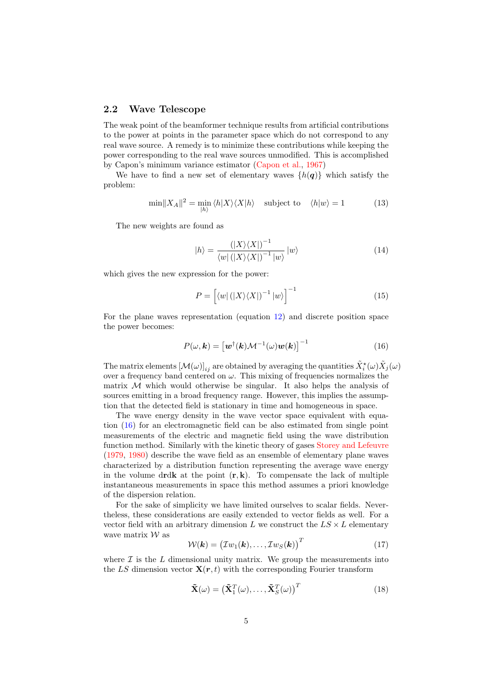#### 2.2 Wave Telescope

The weak point of the beamformer technique results from artificial contributions to the power at points in the parameter space which do not correspond to any real wave source. A remedy is to minimize these contributions while keeping the power corresponding to the real wave sources unmodified. This is accomplished by Capon's minimum variance estimator [\(Capon et al.,](#page-22-10) [1967\)](#page-22-10)

We have to find a new set of elementary waves  $\{h(q)\}\$  which satisfy the problem:

$$
\min \|X_A\|^2 = \min_{|h\rangle} \langle h|X\rangle \langle X|h\rangle \quad \text{subject to} \quad \langle h|w\rangle = 1 \tag{13}
$$

The new weights are found as

$$
|h\rangle = \frac{(|X\rangle\langle X|)^{-1}}{\langle w| (|X\rangle\langle X|)^{-1} |w\rangle} |w\rangle \tag{14}
$$

which gives the new expression for the power:

$$
P = \left[ \langle w | \left( |X\rangle\langle X| \right)^{-1} |w \rangle \right]^{-1} \tag{15}
$$

For the plane waves representation (equation [12\)](#page-3-3) and discrete position space the power becomes:

<span id="page-4-0"></span>
$$
P(\omega, \mathbf{k}) = \left[ \boldsymbol{w}^{\dagger}(\mathbf{k}) \mathcal{M}^{-1}(\omega) \boldsymbol{w}(\mathbf{k}) \right]^{-1}
$$
 (16)

The matrix elements  $[\mathcal{M}(\omega)]_{ij}$  are obtained by averaging the quantities  $\tilde{X}^*_i(\omega)\tilde{X}_j(\omega)$ over a frequency band centered on  $\omega$ . This mixing of frequencies normalizes the matrix  $M$  which would otherwise be singular. It also helps the analysis of sources emitting in a broad frequency range. However, this implies the assumption that the detected field is stationary in time and homogeneous in space.

The wave energy density in the wave vector space equivalent with equation [\(16\)](#page-4-0) for an electromagnetic field can be also estimated from single point measurements of the electric and magnetic field using the wave distribution function method. Similarly with the kinetic theory of gases [Storey and Lefeuvre](#page-23-4) [\(1979,](#page-23-4) [1980\)](#page-23-6) describe the wave field as an ensemble of elementary plane waves characterized by a distribution function representing the average wave energy in the volume drdk at the point  $(r, k)$ . To compensate the lack of multiple instantaneous measurements in space this method assumes a priori knowledge of the dispersion relation.

For the sake of simplicity we have limited ourselves to scalar fields. Nevertheless, these considerations are easily extended to vector fields as well. For a vector field with an arbitrary dimension  $L$  we construct the  $LS \times L$  elementary wave matrix  $W$  as

$$
W(\mathbf{k}) = (I w_1(\mathbf{k}), \dots, I w_S(\mathbf{k}))^T
$$
 (17)

where  $\mathcal I$  is the  $L$  dimensional unity matrix. We group the measurements into the LS dimension vector  $\mathbf{X}(r, t)$  with the corresponding Fourier transform

$$
\tilde{\mathbf{X}}(\omega) = \left(\tilde{\mathbf{X}}_1^T(\omega), \dots, \tilde{\mathbf{X}}_S^T(\omega)\right)^T
$$
\n(18)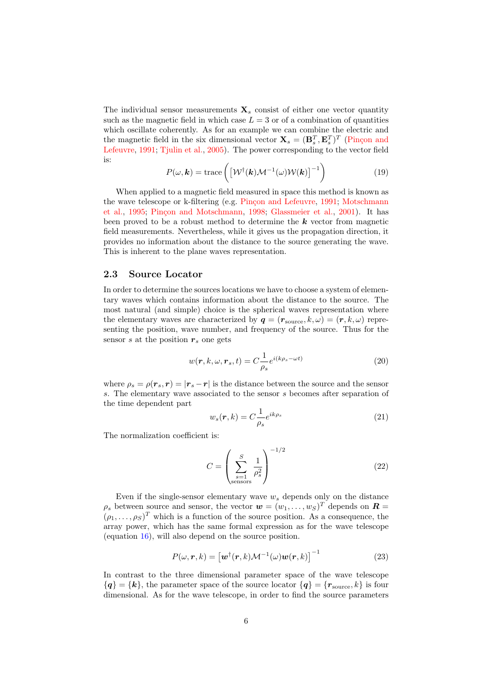The individual sensor measurements  $\mathbf{X}_s$  consist of either one vector quantity such as the magnetic field in which case  $L = 3$  or of a combination of quantities which oscillate coherently. As for an example we can combine the electric and the magnetic field in the six dimensional vector  $\mathbf{X}_s = (\mathbf{B}_s^T, \mathbf{E}_s^T)^T$  (Pinçon and [Lefeuvre,](#page-22-4) [1991;](#page-22-4) [Tjulin et al.,](#page-23-3) [2005\)](#page-23-3). The power corresponding to the vector field is:

$$
P(\omega, \mathbf{k}) = \text{trace}\left( \left[ \mathcal{W}^{\dagger}(\mathbf{k}) \mathcal{M}^{-1}(\omega) \mathcal{W}(\mathbf{k}) \right]^{-1} \right)
$$
(19)

When applied to a magnetic field measured in space this method is known as the wave telescope or k-filtering (e.g. Pinçon and Lefeuvre, [1991;](#page-22-4) [Motschmann](#page-22-6) [et al.,](#page-22-6) [1995;](#page-22-6) Pinçon and Motschmann, [1998;](#page-22-11) [Glassmeier et al.,](#page-22-7) [2001\)](#page-22-7). It has been proved to be a robust method to determine the  $k$  vector from magnetic field measurements. Nevertheless, while it gives us the propagation direction, it provides no information about the distance to the source generating the wave. This is inherent to the plane waves representation.

#### <span id="page-5-0"></span>2.3 Source Locator

In order to determine the sources locations we have to choose a system of elementary waves which contains information about the distance to the source. The most natural (and simple) choice is the spherical waves representation where the elementary waves are characterized by  $q = (r_{\text{source}}, k, \omega) = (r, k, \omega)$  representing the position, wave number, and frequency of the source. Thus for the sensor s at the position  $r_s$  one gets

$$
w(\mathbf{r}, k, \omega, \mathbf{r}_s, t) = C \frac{1}{\rho_s} e^{i(k\rho_s - \omega t)}
$$
\n(20)

where  $\rho_s = \rho(r_s, r) = |r_s - r|$  is the distance between the source and the sensor s. The elementary wave associated to the sensor s becomes after separation of the time dependent part

$$
w_s(\mathbf{r}, k) = C \frac{1}{\rho_s} e^{ik\rho_s} \tag{21}
$$

The normalization coefficient is:

$$
C = \left(\sum_{\substack{s=1 \text{sensors}}}^{S} \frac{1}{\rho_s^2}\right)^{-1/2} \tag{22}
$$

Even if the single-sensor elementary wave  $w_s$  depends only on the distance  $\rho_s$  between source and sensor, the vector  $\mathbf{w} = (w_1, \ldots, w_S)^T$  depends on  $\mathbf{R} =$  $(\rho_1, \ldots, \rho_S)^T$  which is a function of the source position. As a consequence, the array power, which has the same formal expression as for the wave telescope (equation [16\)](#page-4-0), will also depend on the source position.

$$
P(\omega, \mathbf{r}, k) = \left[\mathbf{w}^{\dagger}(\mathbf{r}, k)\mathcal{M}^{-1}(\omega)\mathbf{w}(\mathbf{r}, k)\right]^{-1}
$$
 (23)

In contrast to the three dimensional parameter space of the wave telescope  ${q} = {k}$ , the parameter space of the source locator  ${q} = {r_{source}, k}$  is four dimensional. As for the wave telescope, in order to find the source parameters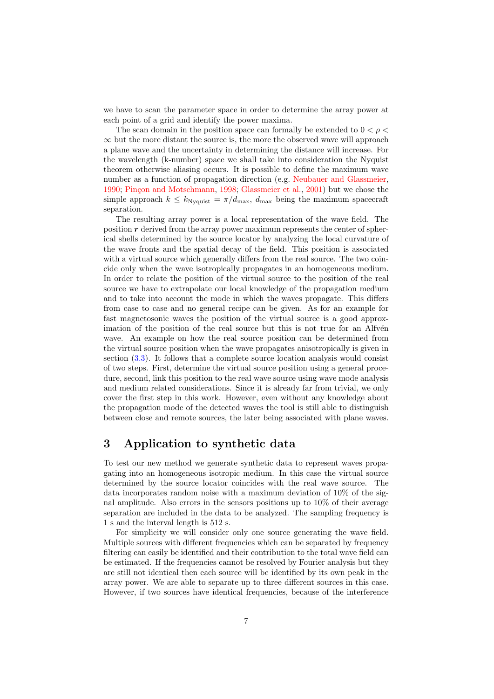we have to scan the parameter space in order to determine the array power at each point of a grid and identify the power maxima.

The scan domain in the position space can formally be extended to  $0 < \rho <$  $\infty$  but the more distant the source is, the more the observed wave will approach a plane wave and the uncertainty in determining the distance will increase. For the wavelength (k-number) space we shall take into consideration the Nyquist theorem otherwise aliasing occurs. It is possible to define the maximum wave number as a function of propagation direction (e.g. [Neubauer and Glassmeier,](#page-22-12) [1990;](#page-22-12) Pinçon and Motschmann, [1998;](#page-22-11) [Glassmeier et al.,](#page-22-7) [2001\)](#page-22-7) but we chose the simple approach  $k \leq k_{\text{Nyquist}} = \pi/d_{\text{max}}$ ,  $d_{\text{max}}$  being the maximum spacecraft separation.

The resulting array power is a local representation of the wave field. The position  $r$  derived from the array power maximum represents the center of spherical shells determined by the source locator by analyzing the local curvature of the wave fronts and the spatial decay of the field. This position is associated with a virtual source which generally differs from the real source. The two coincide only when the wave isotropically propagates in an homogeneous medium. In order to relate the position of the virtual source to the position of the real source we have to extrapolate our local knowledge of the propagation medium and to take into account the mode in which the waves propagate. This differs from case to case and no general recipe can be given. As for an example for fast magnetosonic waves the position of the virtual source is a good approximation of the position of the real source but this is not true for an Alfvén wave. An example on how the real source position can be determined from the virtual source position when the wave propagates anisotropically is given in section [\(3.3\)](#page-10-0). It follows that a complete source location analysis would consist of two steps. First, determine the virtual source position using a general procedure, second, link this position to the real wave source using wave mode analysis and medium related considerations. Since it is already far from trivial, we only cover the first step in this work. However, even without any knowledge about the propagation mode of the detected waves the tool is still able to distinguish between close and remote sources, the later being associated with plane waves.

### 3 Application to synthetic data

To test our new method we generate synthetic data to represent waves propagating into an homogeneous isotropic medium. In this case the virtual source determined by the source locator coincides with the real wave source. The data incorporates random noise with a maximum deviation of 10% of the signal amplitude. Also errors in the sensors positions up to 10% of their average separation are included in the data to be analyzed. The sampling frequency is 1 s and the interval length is 512 s.

For simplicity we will consider only one source generating the wave field. Multiple sources with different frequencies which can be separated by frequency filtering can easily be identified and their contribution to the total wave field can be estimated. If the frequencies cannot be resolved by Fourier analysis but they are still not identical then each source will be identified by its own peak in the array power. We are able to separate up to three different sources in this case. However, if two sources have identical frequencies, because of the interference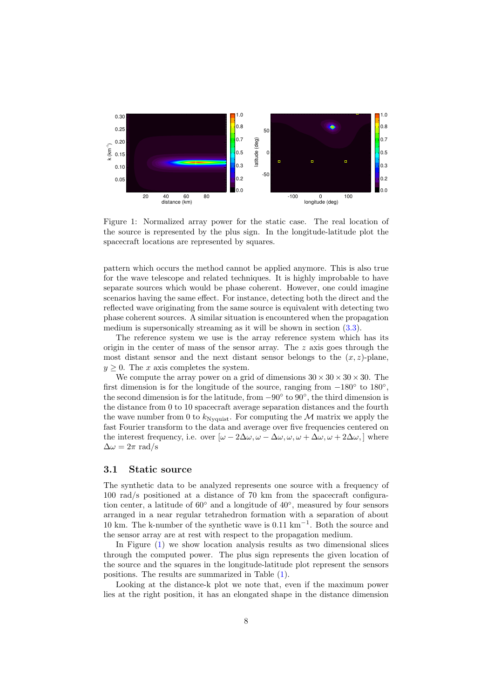

<span id="page-7-0"></span>Figure 1: Normalized array power for the static case. The real location of the source is represented by the plus sign. In the longitude-latitude plot the spacecraft locations are represented by squares.

pattern which occurs the method cannot be applied anymore. This is also true for the wave telescope and related techniques. It is highly improbable to have separate sources which would be phase coherent. However, one could imagine scenarios having the same effect. For instance, detecting both the direct and the reflected wave originating from the same source is equivalent with detecting two phase coherent sources. A similar situation is encountered when the propagation medium is supersonically streaming as it will be shown in section [\(3.3\)](#page-10-0).

The reference system we use is the array reference system which has its origin in the center of mass of the sensor array. The  $z$  axis goes through the most distant sensor and the next distant sensor belongs to the  $(x, z)$ -plane,  $y \geq 0$ . The x axis completes the system.

We compute the array power on a grid of dimensions  $30 \times 30 \times 30 \times 30$ . The first dimension is for the longitude of the source, ranging from  $-180^\circ$  to  $180^\circ$ , the second dimension is for the latitude, from  $-90°$  to  $90°$ , the third dimension is the distance from 0 to 10 spacecraft average separation distances and the fourth the wave number from 0 to  $k_{\text{Nyquist}}$ . For computing the M matrix we apply the fast Fourier transform to the data and average over five frequencies centered on the interest frequency, i.e. over  $[\omega - 2\Delta\omega, \omega - \Delta\omega, \omega, \omega + \Delta\omega, \omega + 2\Delta\omega]$  where  $\Delta \omega = 2\pi \text{ rad/s}$ 

#### <span id="page-7-1"></span>3.1 Static source

The synthetic data to be analyzed represents one source with a frequency of 100 rad/s positioned at a distance of 70 km from the spacecraft configuration center, a latitude of  $60°$  and a longitude of  $40°$ , measured by four sensors arranged in a near regular tetrahedron formation with a separation of about 10 km. The k-number of the synthetic wave is 0.11 km<sup>−</sup><sup>1</sup> . Both the source and the sensor array are at rest with respect to the propagation medium.

In Figure [\(1\)](#page-7-0) we show location analysis results as two dimensional slices through the computed power. The plus sign represents the given location of the source and the squares in the longitude-latitude plot represent the sensors positions. The results are summarized in Table [\(1\)](#page-8-0).

Looking at the distance-k plot we note that, even if the maximum power lies at the right position, it has an elongated shape in the distance dimension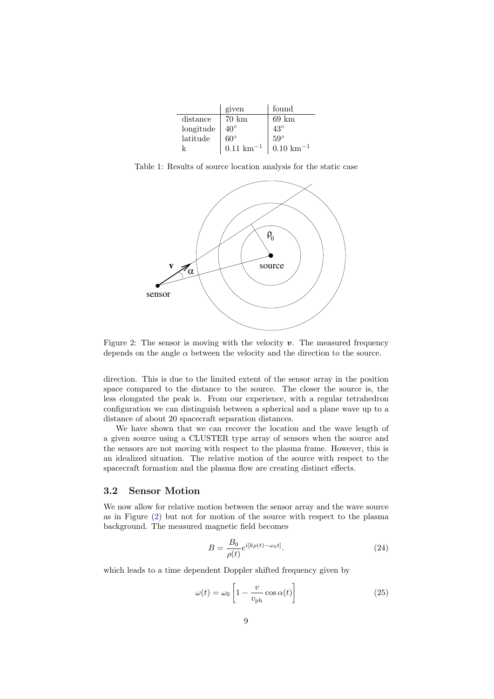|           | given                  | found                  |
|-----------|------------------------|------------------------|
| distance  | $70 \; \mathrm{km}$    | $69 \text{ km}$        |
| longitude | $40^{\circ}$           | $43^\circ$             |
| lattice   | $60^\circ$             | $59^\circ$             |
|           | $0.11 \text{ km}^{-1}$ | $0.10 \text{ km}^{-1}$ |

Table 1: Results of source location analysis for the static case

<span id="page-8-0"></span>

<span id="page-8-1"></span>Figure 2: The sensor is moving with the velocity  $v$ . The measured frequency depends on the angle  $\alpha$  between the velocity and the direction to the source.

direction. This is due to the limited extent of the sensor array in the position space compared to the distance to the source. The closer the source is, the less elongated the peak is. From our experience, with a regular tetrahedron configuration we can distinguish between a spherical and a plane wave up to a distance of about 20 spacecraft separation distances.

We have shown that we can recover the location and the wave length of a given source using a CLUSTER type array of sensors when the source and the sensors are not moving with respect to the plasma frame. However, this is an idealized situation. The relative motion of the source with respect to the spacecraft formation and the plasma flow are creating distinct effects.

#### <span id="page-8-3"></span>3.2 Sensor Motion

We now allow for relative motion between the sensor array and the wave source as in Figure [\(2\)](#page-8-1) but not for motion of the source with respect to the plasma background. The measured magnetic field becomes

$$
B = \frac{B_0}{\rho(t)} e^{i[k\rho(t) - \omega_0 t]}.
$$
\n(24)

which leads to a time dependent Doppler shifted frequency given by

<span id="page-8-2"></span>
$$
\omega(t) = \omega_0 \left[ 1 - \frac{v}{v_{\rm ph}} \cos \alpha(t) \right]
$$
\n(25)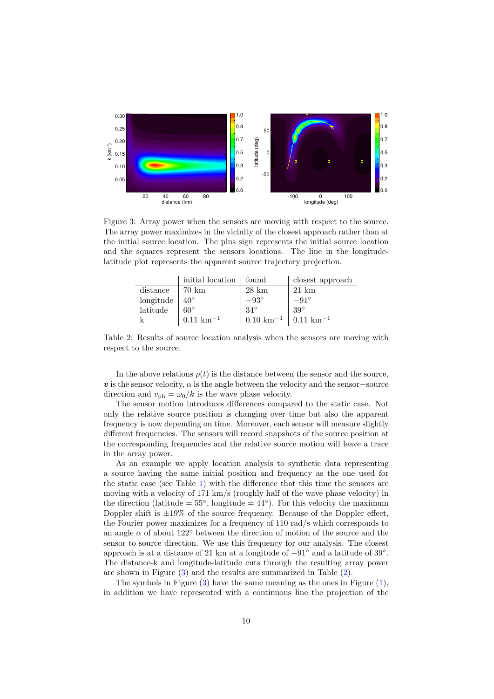

<span id="page-9-0"></span>Figure 3: Array power when the sensors are moving with respect to the source. The array power maximizes in the vicinity of the closest approach rather than at the initial source location. The plus sign represents the initial source location and the squares represent the sensors locations. The line in the longitudelatitude plot represents the apparent source trajectory projection.

|           | initial location   found |                        | closest approach       |
|-----------|--------------------------|------------------------|------------------------|
| distance  | 70 km                    | $28 \text{ km}$        | $21 \text{ km}$        |
| longitude | $40^{\circ}$             | $-93^{\circ}$          | $-91^\circ$            |
| latitude  | $60^{\circ}$             | $34^\circ$             | $39^\circ$             |
|           | $0.11 \text{ km}^{-1}$   | $0.10 \;{\rm km}^{-1}$ | $0.11 \text{ km}^{-1}$ |

<span id="page-9-1"></span>Table 2: Results of source location analysis when the sensors are moving with respect to the source.

In the above relations  $\rho(t)$  is the distance between the sensor and the source, v is the sensor velocity,  $\alpha$  is the angle between the velocity and the sensor-source direction and  $v_{\rm ph} = \omega_0/k$  is the wave phase velocity.

The sensor motion introduces differences compared to the static case. Not only the relative source position is changing over time but also the apparent frequency is now depending on time. Moreover, each sensor will measure slightly different frequencies. The sensors will record snapshots of the source position at the corresponding frequencies and the relative source motion will leave a trace in the array power.

As an example we apply location analysis to synthetic data representing a source having the same initial position and frequency as the one used for the static case (see Table [1\)](#page-8-0) with the difference that this time the sensors are moving with a velocity of 171 km/s (roughly half of the wave phase velocity) in the direction (latitude  $= 55^{\circ}$ , longitude  $= 44^{\circ}$ ). For this velocity the maximum Doppler shift is  $\pm 19\%$  of the source frequency. Because of the Doppler effect, the Fourier power maximizes for a frequency of 110 rad/s which corresponds to an angle  $\alpha$  of about 122° between the direction of motion of the source and the sensor to source direction. We use this frequency for our analysis. The closest approach is at a distance of 21 km at a longitude of −91◦ and a latitude of 39◦ . The distance-k and longitude-latitude cuts through the resulting array power are shown in Figure [\(3\)](#page-9-0) and the results are summarized in Table [\(2\)](#page-9-1).

The symbols in Figure  $(3)$  have the same meaning as the ones in Figure  $(1)$ , in addition we have represented with a continuous line the projection of the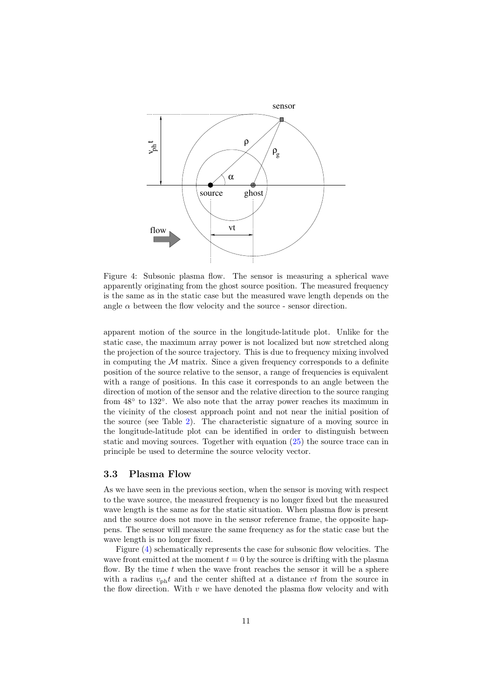

<span id="page-10-1"></span>Figure 4: Subsonic plasma flow. The sensor is measuring a spherical wave apparently originating from the ghost source position. The measured frequency is the same as in the static case but the measured wave length depends on the angle  $\alpha$  between the flow velocity and the source - sensor direction.

apparent motion of the source in the longitude-latitude plot. Unlike for the static case, the maximum array power is not localized but now stretched along the projection of the source trajectory. This is due to frequency mixing involved in computing the  $M$  matrix. Since a given frequency corresponds to a definite position of the source relative to the sensor, a range of frequencies is equivalent with a range of positions. In this case it corresponds to an angle between the direction of motion of the sensor and the relative direction to the source ranging from  $48°$  to  $132°$ . We also note that the array power reaches its maximum in the vicinity of the closest approach point and not near the initial position of the source (see Table [2\)](#page-9-1). The characteristic signature of a moving source in the longitude-latitude plot can be identified in order to distinguish between static and moving sources. Together with equation [\(25\)](#page-8-2) the source trace can in principle be used to determine the source velocity vector.

#### <span id="page-10-0"></span>3.3 Plasma Flow

As we have seen in the previous section, when the sensor is moving with respect to the wave source, the measured frequency is no longer fixed but the measured wave length is the same as for the static situation. When plasma flow is present and the source does not move in the sensor reference frame, the opposite happens. The sensor will measure the same frequency as for the static case but the wave length is no longer fixed.

Figure  $(4)$  schematically represents the case for subsonic flow velocities. The wave front emitted at the moment  $t = 0$  by the source is drifting with the plasma flow. By the time  $t$  when the wave front reaches the sensor it will be a sphere with a radius  $v_{\text{ph}}t$  and the center shifted at a distance vt from the source in the flow direction. With  $v$  we have denoted the plasma flow velocity and with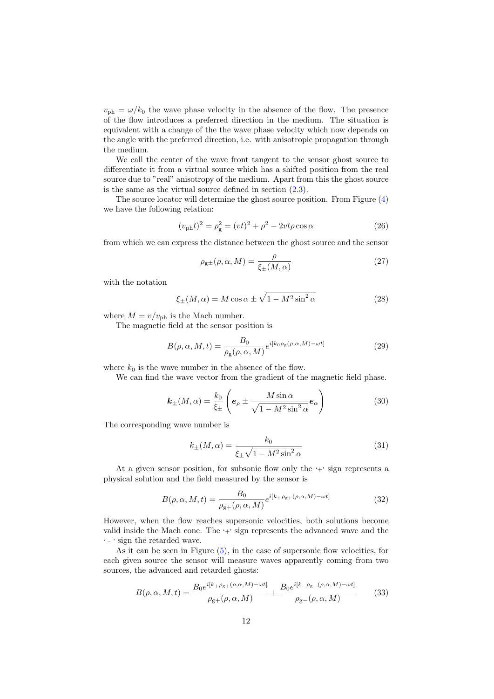$v_{\text{ph}} = \omega/k_0$  the wave phase velocity in the absence of the flow. The presence of the flow introduces a preferred direction in the medium. The situation is equivalent with a change of the the wave phase velocity which now depends on the angle with the preferred direction, i.e. with anisotropic propagation through the medium.

We call the center of the wave front tangent to the sensor ghost source to differentiate it from a virtual source which has a shifted position from the real source due to "real" anisotropy of the medium. Apart from this the ghost source is the same as the virtual source defined in section  $(2.3)$ .

The source locator will determine the ghost source position. From Figure [\(4\)](#page-10-1) we have the following relation:

<span id="page-11-0"></span>
$$
(v_{\rm ph}t)^2 = \rho_{\rm g}^2 = (vt)^2 + \rho^2 - 2vt\rho\cos\alpha \tag{26}
$$

from which we can express the distance between the ghost source and the sensor

$$
\rho_{\text{g}\pm}(\rho,\alpha,M) = \frac{\rho}{\xi_{\pm}(M,\alpha)}\tag{27}
$$

with the notation

$$
\xi_{\pm}(M,\alpha) = M\cos\alpha \pm \sqrt{1 - M^2\sin^2\alpha} \tag{28}
$$

where  $M = v/v_{\text{ph}}$  is the Mach number.

The magnetic field at the sensor position is

$$
B(\rho, \alpha, M, t) = \frac{B_0}{\rho_g(\rho, \alpha, M)} e^{i[k_0 \rho_g(\rho, \alpha, M) - \omega t]}
$$
\n(29)

where  $k_0$  is the wave number in the absence of the flow.

We can find the wave vector from the gradient of the magnetic field phase.

$$
\boldsymbol{k}_{\pm}(M,\alpha) = \frac{k_0}{\xi_{\pm}} \left( \boldsymbol{e}_{\rho} \pm \frac{M \sin \alpha}{\sqrt{1 - M^2 \sin^2 \alpha}} \boldsymbol{e}_{\alpha} \right)
$$
(30)

The corresponding wave number is

$$
k_{\pm}(M,\alpha) = \frac{k_0}{\xi_{\pm}\sqrt{1 - M^2 \sin^2 \alpha}}\tag{31}
$$

At a given sensor position, for subsonic flow only the  $\pm$  sign represents a physical solution and the field measured by the sensor is

$$
B(\rho, \alpha, M, t) = \frac{B_0}{\rho_{\rm g+}(\rho, \alpha, M)} e^{i[k + \rho_{\rm g+}(\rho, \alpha, M) - \omega t]}
$$
(32)

However, when the flow reaches supersonic velocities, both solutions become valid inside the Mach cone. The '+' sign represents the advanced wave and the ' – ' sign the retarded wave.

As it can be seen in Figure  $(5)$ , in the case of supersonic flow velocities, for each given source the sensor will measure waves apparently coming from two sources, the advanced and retarded ghosts:

$$
B(\rho,\alpha,M,t) = \frac{B_0 e^{i[k+\rho_{\rm g+}(\rho,\alpha,M)-\omega t]}}{\rho_{\rm g+}(\rho,\alpha,M)} + \frac{B_0 e^{i[k-\rho_{\rm g-}(\rho,\alpha,M)-\omega t]}}{\rho_{\rm g-}(\rho,\alpha,M)}\tag{33}
$$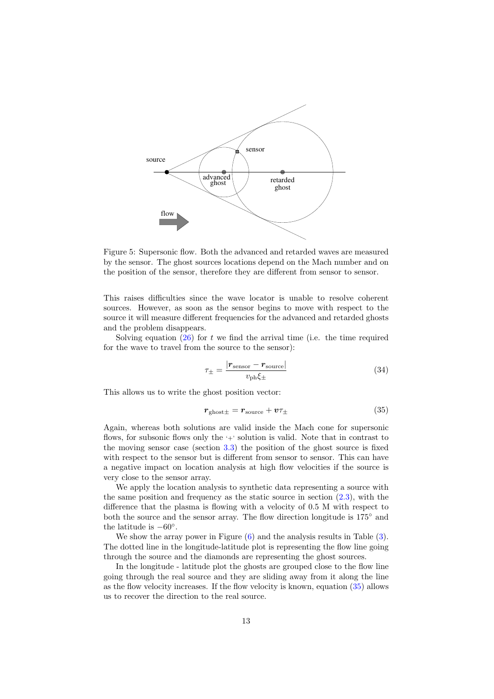

<span id="page-12-0"></span>Figure 5: Supersonic flow. Both the advanced and retarded waves are measured by the sensor. The ghost sources locations depend on the Mach number and on the position of the sensor, therefore they are different from sensor to sensor.

This raises difficulties since the wave locator is unable to resolve coherent sources. However, as soon as the sensor begins to move with respect to the source it will measure different frequencies for the advanced and retarded ghosts and the problem disappears.

Solving equation  $(26)$  for t we find the arrival time (i.e. the time required for the wave to travel from the source to the sensor):

$$
\tau_{\pm} = \frac{|r_{\text{sensor}} - r_{\text{source}}|}{v_{\text{ph}}\xi_{\pm}}
$$
\n(34)

This allows us to write the ghost position vector:

<span id="page-12-1"></span>
$$
r_{\text{ghost}\pm} = r_{\text{source}} + v\tau_{\pm} \tag{35}
$$

Again, whereas both solutions are valid inside the Mach cone for supersonic flows, for subsonic flows only the  $\leftarrow$  solution is valid. Note that in contrast to the moving sensor case (section [3.3\)](#page-10-0) the position of the ghost source is fixed with respect to the sensor but is different from sensor to sensor. This can have a negative impact on location analysis at high flow velocities if the source is very close to the sensor array.

We apply the location analysis to synthetic data representing a source with the same position and frequency as the static source in section  $(2.3)$ , with the difference that the plasma is flowing with a velocity of 0.5 M with respect to both the source and the sensor array. The flow direction longitude is 175◦ and the latitude is  $-60^\circ$ .

We show the array power in Figure  $(6)$  and the analysis results in Table  $(3)$ . The dotted line in the longitude-latitude plot is representing the flow line going through the source and the diamonds are representing the ghost sources.

In the longitude - latitude plot the ghosts are grouped close to the flow line going through the real source and they are sliding away from it along the line as the flow velocity increases. If the flow velocity is known, equation [\(35\)](#page-12-1) allows us to recover the direction to the real source.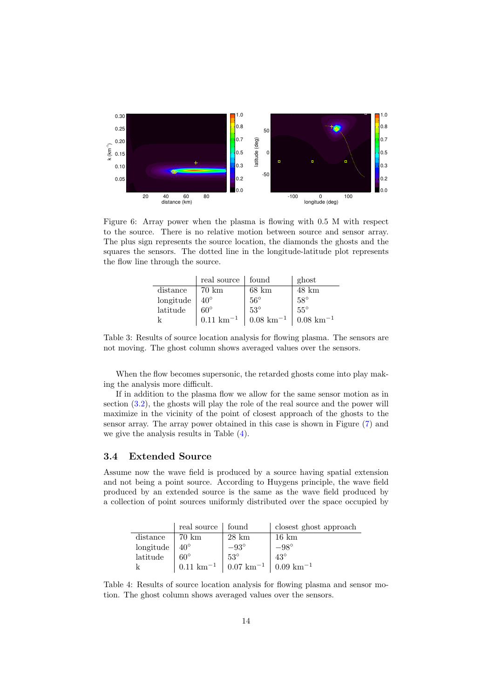

<span id="page-13-0"></span>Figure 6: Array power when the plasma is flowing with 0.5 M with respect to the source. There is no relative motion between source and sensor array. The plus sign represents the source location, the diamonds the ghosts and the squares the sensors. The dotted line in the longitude-latitude plot represents the flow line through the source.

|           | real source   found    |                        | ghost                  |
|-----------|------------------------|------------------------|------------------------|
| distance  | 70 km                  | $68 \text{ km}$        | $48 \text{ km}$        |
| longitude | $40^{\circ}$           | $.56^{\circ}$          | $58^\circ$             |
| latitude  | $60^{\circ}$           | $53^\circ$             | $55^\circ$             |
| k         | $0.11 \text{ km}^{-1}$ | $0.08 \text{ km}^{-1}$ | $0.08 \text{ km}^{-1}$ |

<span id="page-13-1"></span>Table 3: Results of source location analysis for flowing plasma. The sensors are not moving. The ghost column shows averaged values over the sensors.

When the flow becomes supersonic, the retarded ghosts come into play making the analysis more difficult.

If in addition to the plasma flow we allow for the same sensor motion as in section [\(3.2\)](#page-8-3), the ghosts will play the role of the real source and the power will maximize in the vicinity of the point of closest approach of the ghosts to the sensor array. The array power obtained in this case is shown in Figure [\(7\)](#page-14-0) and we give the analysis results in Table [\(4\)](#page-13-2).

#### 3.4 Extended Source

Assume now the wave field is produced by a source having spatial extension and not being a point source. According to Huygens principle, the wave field produced by an extended source is the same as the wave field produced by a collection of point sources uniformly distributed over the space occupied by

|           | real source            | found                  | closest ghost approach |
|-----------|------------------------|------------------------|------------------------|
| distance  | 70 km                  | $28 \text{ km}$        | $16 \text{ km}$        |
| longitude | $40^{\circ}$           | $-93^\circ$            | $-98^\circ$            |
| latitude  | $60^{\circ}$           | $53^\circ$             | $43^\circ$             |
|           | $0.11 \text{ km}^{-1}$ | $0.07 \text{ km}^{-1}$ | $0.09 \text{ km}^{-1}$ |

<span id="page-13-2"></span>Table 4: Results of source location analysis for flowing plasma and sensor motion. The ghost column shows averaged values over the sensors.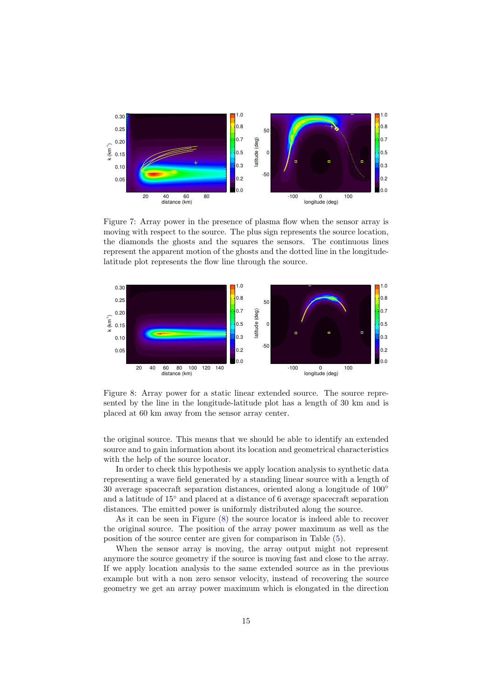

<span id="page-14-0"></span>Figure 7: Array power in the presence of plasma flow when the sensor array is moving with respect to the source. The plus sign represents the source location, the diamonds the ghosts and the squares the sensors. The continuous lines represent the apparent motion of the ghosts and the dotted line in the longitudelatitude plot represents the flow line through the source.



<span id="page-14-1"></span>Figure 8: Array power for a static linear extended source. The source represented by the line in the longitude-latitude plot has a length of 30 km and is placed at 60 km away from the sensor array center.

the original source. This means that we should be able to identify an extended source and to gain information about its location and geometrical characteristics with the help of the source locator.

In order to check this hypothesis we apply location analysis to synthetic data representing a wave field generated by a standing linear source with a length of 30 average spacecraft separation distances, oriented along a longitude of  $100^{\circ}$ and a latitude of 15◦ and placed at a distance of 6 average spacecraft separation distances. The emitted power is uniformly distributed along the source.

As it can be seen in Figure [\(8\)](#page-14-1) the source locator is indeed able to recover the original source. The position of the array power maximum as well as the position of the source center are given for comparison in Table [\(5\)](#page-15-0).

When the sensor array is moving, the array output might not represent anymore the source geometry if the source is moving fast and close to the array. If we apply location analysis to the same extended source as in the previous example but with a non zero sensor velocity, instead of recovering the source geometry we get an array power maximum which is elongated in the direction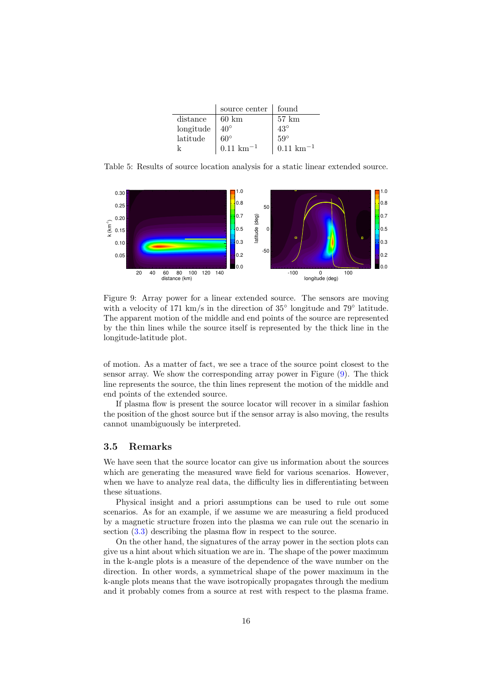|                            | source center          | found                  |
|----------------------------|------------------------|------------------------|
| distance                   | $60 \text{ km}$        | $57 \text{ km}$        |
| $\operatorname{longitude}$ | $40^\circ$             | $43^\circ$             |
| latitude                   | $60^{\circ}$           | $59^\circ$             |
|                            | $0.11 \text{ km}^{-1}$ | $0.11 \text{ km}^{-1}$ |

<span id="page-15-0"></span>Table 5: Results of source location analysis for a static linear extended source.



<span id="page-15-1"></span>Figure 9: Array power for a linear extended source. The sensors are moving with a velocity of 171 km/s in the direction of 35° longitude and 79° latitude. The apparent motion of the middle and end points of the source are represented by the thin lines while the source itself is represented by the thick line in the longitude-latitude plot.

of motion. As a matter of fact, we see a trace of the source point closest to the sensor array. We show the corresponding array power in Figure [\(9\)](#page-15-1). The thick line represents the source, the thin lines represent the motion of the middle and end points of the extended source.

If plasma flow is present the source locator will recover in a similar fashion the position of the ghost source but if the sensor array is also moving, the results cannot unambiguously be interpreted.

#### 3.5 Remarks

We have seen that the source locator can give us information about the sources which are generating the measured wave field for various scenarios. However, when we have to analyze real data, the difficulty lies in differentiating between these situations.

Physical insight and a priori assumptions can be used to rule out some scenarios. As for an example, if we assume we are measuring a field produced by a magnetic structure frozen into the plasma we can rule out the scenario in section [\(3.3\)](#page-10-0) describing the plasma flow in respect to the source.

On the other hand, the signatures of the array power in the section plots can give us a hint about which situation we are in. The shape of the power maximum in the k-angle plots is a measure of the dependence of the wave number on the direction. In other words, a symmetrical shape of the power maximum in the k-angle plots means that the wave isotropically propagates through the medium and it probably comes from a source at rest with respect to the plasma frame.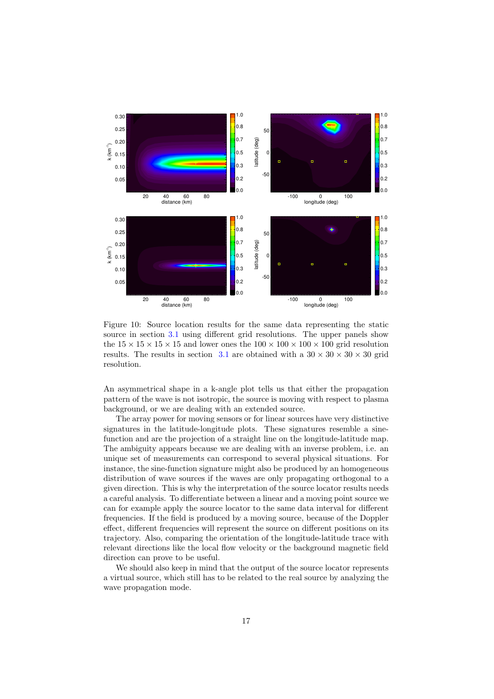

<span id="page-16-0"></span>Figure 10: Source location results for the same data representing the static source in section [3.1](#page-7-1) using different grid resolutions. The upper panels show the  $15 \times 15 \times 15 \times 15$  and lower ones the  $100 \times 100 \times 100 \times 100$  grid resolution results. The results in section [3.1](#page-7-1) are obtained with a  $30 \times 30 \times 30 \times 30$  grid resolution.

An asymmetrical shape in a k-angle plot tells us that either the propagation pattern of the wave is not isotropic, the source is moving with respect to plasma background, or we are dealing with an extended source.

The array power for moving sensors or for linear sources have very distinctive signatures in the latitude-longitude plots. These signatures resemble a sinefunction and are the projection of a straight line on the longitude-latitude map. The ambiguity appears because we are dealing with an inverse problem, i.e. an unique set of measurements can correspond to several physical situations. For instance, the sine-function signature might also be produced by an homogeneous distribution of wave sources if the waves are only propagating orthogonal to a given direction. This is why the interpretation of the source locator results needs a careful analysis. To differentiate between a linear and a moving point source we can for example apply the source locator to the same data interval for different frequencies. If the field is produced by a moving source, because of the Doppler effect, different frequencies will represent the source on different positions on its trajectory. Also, comparing the orientation of the longitude-latitude trace with relevant directions like the local flow velocity or the background magnetic field direction can prove to be useful.

We should also keep in mind that the output of the source locator represents a virtual source, which still has to be related to the real source by analyzing the wave propagation mode.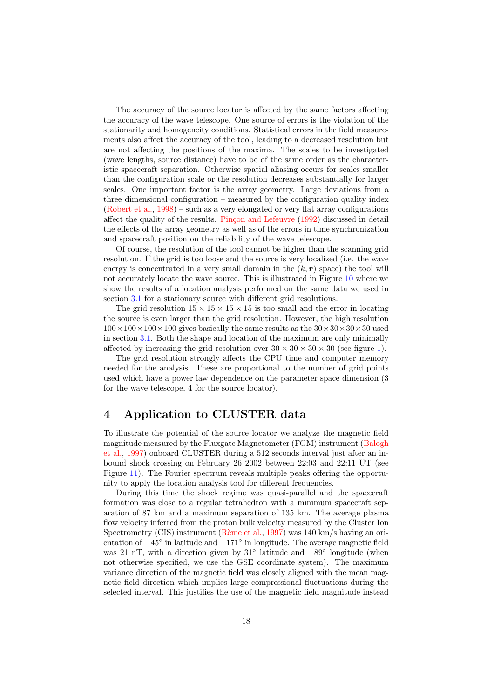The accuracy of the source locator is affected by the same factors affecting the accuracy of the wave telescope. One source of errors is the violation of the stationarity and homogeneity conditions. Statistical errors in the field measurements also affect the accuracy of the tool, leading to a decreased resolution but are not affecting the positions of the maxima. The scales to be investigated (wave lengths, source distance) have to be of the same order as the characteristic spacecraft separation. Otherwise spatial aliasing occurs for scales smaller than the configuration scale or the resolution decreases substantially for larger scales. One important factor is the array geometry. Large deviations from a three dimensional configuration – measured by the configuration quality index [\(Robert et al.,](#page-23-7) [1998\)](#page-23-7) – such as a very elongated or very flat array configurations affect the quality of the results. Pinçon and Lefeuvre [\(1992\)](#page-22-13) discussed in detail the effects of the array geometry as well as of the errors in time synchronization and spacecraft position on the reliability of the wave telescope.

Of course, the resolution of the tool cannot be higher than the scanning grid resolution. If the grid is too loose and the source is very localized (i.e. the wave energy is concentrated in a very small domain in the  $(k, r)$  space) the tool will not accurately locate the wave source. This is illustrated in Figure [10](#page-16-0) where we show the results of a location analysis performed on the same data we used in section [3.1](#page-7-1) for a stationary source with different grid resolutions.

The grid resolution  $15 \times 15 \times 15 \times 15$  is too small and the error in locating the source is even larger than the grid resolution. However, the high resolution  $100\times100\times100\times100$  gives basically the same results as the  $30\times30\times30\times30$  used in section [3.1.](#page-7-1) Both the shape and location of the maximum are only minimally affected by increasing the grid resolution over  $30 \times 30 \times 30 \times 30$  (see figure [1\)](#page-7-0).

The grid resolution strongly affects the CPU time and computer memory needed for the analysis. These are proportional to the number of grid points used which have a power law dependence on the parameter space dimension (3 for the wave telescope, 4 for the source locator).

# 4 Application to CLUSTER data

To illustrate the potential of the source locator we analyze the magnetic field magnitude measured by the Fluxgate Magnetometer (FGM) instrument [\(Balogh](#page-21-1) [et al.,](#page-21-1) [1997\)](#page-21-1) onboard CLUSTER during a 512 seconds interval just after an inbound shock crossing on February 26 2002 between 22:03 and 22:11 UT (see Figure [11\)](#page-18-0). The Fourier spectrum reveals multiple peaks offering the opportunity to apply the location analysis tool for different frequencies.

During this time the shock regime was quasi-parallel and the spacecraft formation was close to a regular tetrahedron with a minimum spacecraft separation of 87 km and a maximum separation of 135 km. The average plasma flow velocity inferred from the proton bulk velocity measured by the Cluster Ion Spectrometry (CIS) instrument (Rème et al., [1997\)](#page-23-8) was 140 km/s having an orientation of −45◦ in latitude and −171◦ in longitude. The average magnetic field was 21 nT, with a direction given by 31<sup>°</sup> latitude and  $-89°$  longitude (when not otherwise specified, we use the GSE coordinate system). The maximum variance direction of the magnetic field was closely aligned with the mean magnetic field direction which implies large compressional fluctuations during the selected interval. This justifies the use of the magnetic field magnitude instead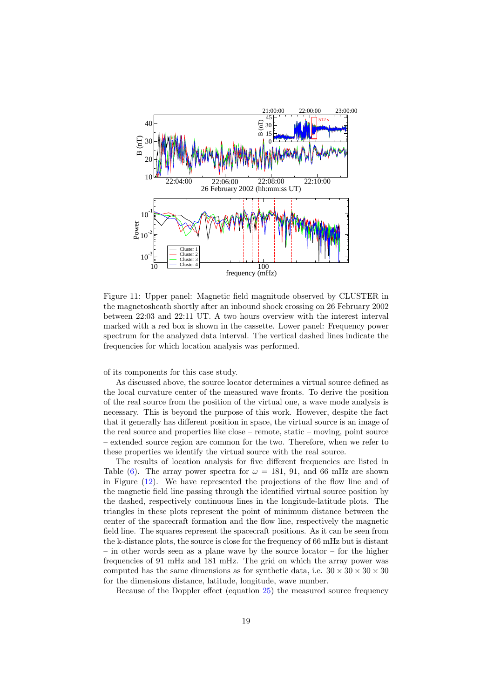

<span id="page-18-0"></span>Figure 11: Upper panel: Magnetic field magnitude observed by CLUSTER in the magnetosheath shortly after an inbound shock crossing on 26 February 2002 between 22:03 and 22:11 UT. A two hours overview with the interest interval marked with a red box is shown in the cassette. Lower panel: Frequency power spectrum for the analyzed data interval. The vertical dashed lines indicate the frequencies for which location analysis was performed.

of its components for this case study.

As discussed above, the source locator determines a virtual source defined as the local curvature center of the measured wave fronts. To derive the position of the real source from the position of the virtual one, a wave mode analysis is necessary. This is beyond the purpose of this work. However, despite the fact that it generally has different position in space, the virtual source is an image of the real source and properties like close – remote, static – moving, point source – extended source region are common for the two. Therefore, when we refer to these properties we identify the virtual source with the real source.

The results of location analysis for five different frequencies are listed in Table [\(6\)](#page-19-0). The array power spectra for  $\omega = 181, 91,$  and 66 mHz are shown in Figure [\(12\)](#page-20-0). We have represented the projections of the flow line and of the magnetic field line passing through the identified virtual source position by the dashed, respectively continuous lines in the longitude-latitude plots. The triangles in these plots represent the point of minimum distance between the center of the spacecraft formation and the flow line, respectively the magnetic field line. The squares represent the spacecraft positions. As it can be seen from the k-distance plots, the source is close for the frequency of 66 mHz but is distant – in other words seen as a plane wave by the source locator – for the higher frequencies of 91 mHz and 181 mHz. The grid on which the array power was computed has the same dimensions as for synthetic data, i.e.  $30 \times 30 \times 30 \times 30$ for the dimensions distance, latitude, longitude, wave number.

Because of the Doppler effect (equation [25\)](#page-8-2) the measured source frequency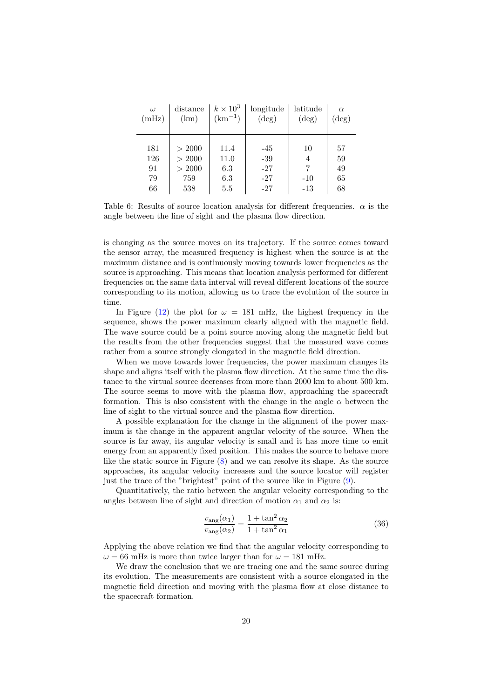| $\omega$ | distance | $k \times 10^3$ | longitude      | latitude       | $\alpha$       |
|----------|----------|-----------------|----------------|----------------|----------------|
| (mHz)    | (km)     | $(km^{-1})$     | $(\text{deg})$ | $(\text{deg})$ | $(\text{deg})$ |
|          |          |                 |                |                |                |
| 181      | > 2000   | 11.4            | $-45$          | 10             | 57             |
| 126      | > 2000   | 11.0            | $-39$          | 4              | 59             |
| 91       | > 2000   | 6.3             | $-27$          | 7              | 49             |
| 79       | 759      | 6.3             | $-27$          | $-10$          | 65             |
| 66       | 538      | $5.5\,$         | $-27$          | $-13$          | 68             |

<span id="page-19-0"></span>Table 6: Results of source location analysis for different frequencies.  $\alpha$  is the angle between the line of sight and the plasma flow direction.

is changing as the source moves on its trajectory. If the source comes toward the sensor array, the measured frequency is highest when the source is at the maximum distance and is continuously moving towards lower frequencies as the source is approaching. This means that location analysis performed for different frequencies on the same data interval will reveal different locations of the source corresponding to its motion, allowing us to trace the evolution of the source in time.

In Figure [\(12\)](#page-20-0) the plot for  $\omega = 181$  mHz, the highest frequency in the sequence, shows the power maximum clearly aligned with the magnetic field. The wave source could be a point source moving along the magnetic field but the results from the other frequencies suggest that the measured wave comes rather from a source strongly elongated in the magnetic field direction.

When we move towards lower frequencies, the power maximum changes its shape and aligns itself with the plasma flow direction. At the same time the distance to the virtual source decreases from more than 2000 km to about 500 km. The source seems to move with the plasma flow, approaching the spacecraft formation. This is also consistent with the change in the angle  $\alpha$  between the line of sight to the virtual source and the plasma flow direction.

A possible explanation for the change in the alignment of the power maximum is the change in the apparent angular velocity of the source. When the source is far away, its angular velocity is small and it has more time to emit energy from an apparently fixed position. This makes the source to behave more like the static source in Figure [\(8\)](#page-14-1) and we can resolve its shape. As the source approaches, its angular velocity increases and the source locator will register just the trace of the "brightest" point of the source like in Figure [\(9\)](#page-15-1).

Quantitatively, the ratio between the angular velocity corresponding to the angles between line of sight and direction of motion  $\alpha_1$  and  $\alpha_2$  is:

$$
\frac{v_{\text{ang}}(\alpha_1)}{v_{\text{ang}}(\alpha_2)} = \frac{1 + \tan^2 \alpha_2}{1 + \tan^2 \alpha_1} \tag{36}
$$

Applying the above relation we find that the angular velocity corresponding to  $\omega = 66$  mHz is more than twice larger than for  $\omega = 181$  mHz.

We draw the conclusion that we are tracing one and the same source during its evolution. The measurements are consistent with a source elongated in the magnetic field direction and moving with the plasma flow at close distance to the spacecraft formation.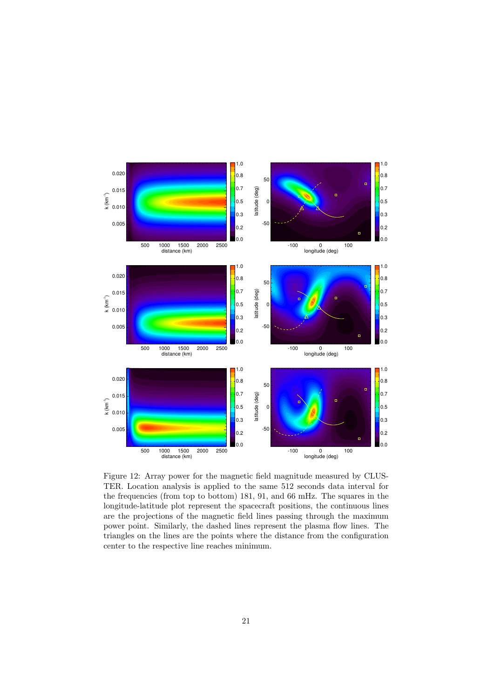

<span id="page-20-0"></span>Figure 12: Array power for the magnetic field magnitude measured by CLUS-TER. Location analysis is applied to the same 512 seconds data interval for the frequencies (from top to bottom) 181, 91, and 66 mHz. The squares in the longitude-latitude plot represent the spacecraft positions, the continuous lines are the projections of the magnetic field lines passing through the maximum power point. Similarly, the dashed lines represent the plasma flow lines. The triangles on the lines are the points where the distance from the configuration center to the respective line reaches minimum.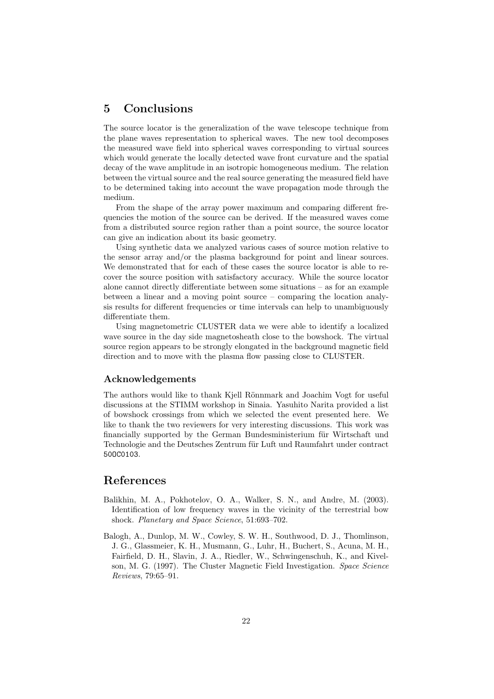# 5 Conclusions

The source locator is the generalization of the wave telescope technique from the plane waves representation to spherical waves. The new tool decomposes the measured wave field into spherical waves corresponding to virtual sources which would generate the locally detected wave front curvature and the spatial decay of the wave amplitude in an isotropic homogeneous medium. The relation between the virtual source and the real source generating the measured field have to be determined taking into account the wave propagation mode through the medium.

From the shape of the array power maximum and comparing different frequencies the motion of the source can be derived. If the measured waves come from a distributed source region rather than a point source, the source locator can give an indication about its basic geometry.

Using synthetic data we analyzed various cases of source motion relative to the sensor array and/or the plasma background for point and linear sources. We demonstrated that for each of these cases the source locator is able to recover the source position with satisfactory accuracy. While the source locator alone cannot directly differentiate between some situations – as for an example between a linear and a moving point source – comparing the location analysis results for different frequencies or time intervals can help to unambiguously differentiate them.

Using magnetometric CLUSTER data we were able to identify a localized wave source in the day side magnetosheath close to the bowshock. The virtual source region appears to be strongly elongated in the background magnetic field direction and to move with the plasma flow passing close to CLUSTER.

#### Acknowledgements

The authors would like to thank Kjell Rönnmark and Joachim Vogt for useful discussions at the STIMM workshop in Sinaia. Yasuhito Narita provided a list of bowshock crossings from which we selected the event presented here. We like to thank the two reviewers for very interesting discussions. This work was financially supported by the German Bundesministerium für Wirtschaft und Technologie and the Deutsches Zentrum für Luft und Raumfahrt under contract 50OC0103.

### References

- <span id="page-21-0"></span>Balikhin, M. A., Pokhotelov, O. A., Walker, S. N., and Andre, M. (2003). Identification of low frequency waves in the vicinity of the terrestrial bow shock. Planetary and Space Science, 51:693–702.
- <span id="page-21-1"></span>Balogh, A., Dunlop, M. W., Cowley, S. W. H., Southwood, D. J., Thomlinson, J. G., Glassmeier, K. H., Musmann, G., Luhr, H., Buchert, S., Acuna, M. H., Fairfield, D. H., Slavin, J. A., Riedler, W., Schwingenschuh, K., and Kivelson, M. G. (1997). The Cluster Magnetic Field Investigation. Space Science Reviews, 79:65–91.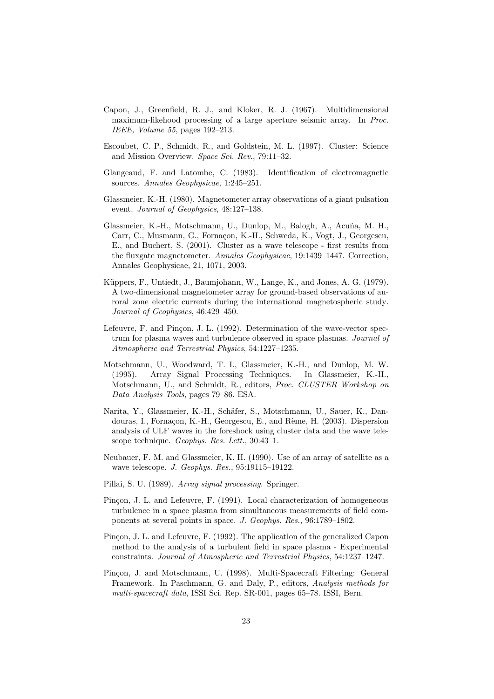- <span id="page-22-10"></span>Capon, J., Greenfield, R. J., and Kloker, R. J. (1967). Multidimensional maximum-likehood processing of a large aperture seismic array. In Proc. IEEE, Volume 55, pages 192–213.
- <span id="page-22-1"></span>Escoubet, C. P., Schmidt, R., and Goldstein, M. L. (1997). Cluster: Science and Mission Overview. Space Sci. Rev., 79:11–32.
- <span id="page-22-3"></span>Glangeaud, F. and Latombe, C. (1983). Identification of electromagnetic sources. Annales Geophysicae, 1:245–251.
- <span id="page-22-2"></span>Glassmeier, K.-H. (1980). Magnetometer array observations of a giant pulsation event. Journal of Geophysics, 48:127–138.
- <span id="page-22-7"></span>Glassmeier, K.-H., Motschmann, U., Dunlop, M., Balogh, A., Acuña, M. H., Carr, C., Musmann, G., Fornaçon, K.-H., Schweda, K., Vogt, J., Georgescu, E., and Buchert, S. (2001). Cluster as a wave telescope - first results from the fluxgate magnetometer. Annales Geophysicae, 19:1439–1447. Correction, Annales Geophysicae, 21, 1071, 2003.
- <span id="page-22-0"></span>Küppers, F., Untiedt, J., Baumjohann, W., Lange, K., and Jones, A. G. (1979). A two-dimensional magnetometer array for ground-based observations of auroral zone electric currents during the international magnetospheric study. Journal of Geophysics, 46:429–450.
- <span id="page-22-5"></span>Lefeuvre, F. and Pincon, J. L. (1992). Determination of the wave-vector spectrum for plasma waves and turbulence observed in space plasmas. Journal of Atmospheric and Terrestrial Physics, 54:1227–1235.
- <span id="page-22-6"></span>Motschmann, U., Woodward, T. I., Glassmeier, K.-H., and Dunlop, M. W. (1995). Array Signal Processing Techniques. In Glassmeier, K.-H., Motschmann, U., and Schmidt, R., editors, Proc. CLUSTER Workshop on Data Analysis Tools, pages 79–86. ESA.
- <span id="page-22-8"></span>Narita, Y., Glassmeier, K.-H., Schäfer, S., Motschmann, U., Sauer, K., Dandouras, I., Fornaçon, K.-H., Georgescu, E., and Rème, H. (2003). Dispersion analysis of ULF waves in the foreshock using cluster data and the wave telescope technique. Geophys. Res. Lett., 30:43–1.
- <span id="page-22-12"></span>Neubauer, F. M. and Glassmeier, K. H. (1990). Use of an array of satellite as a wave telescope. J. Geophys. Res., 95:19115–19122.
- <span id="page-22-9"></span>Pillai, S. U. (1989). Array signal processing. Springer.
- <span id="page-22-4"></span>Pinçon, J. L. and Lefeuvre, F. (1991). Local characterization of homogeneous turbulence in a space plasma from simultaneous measurements of field components at several points in space. J. Geophys. Res., 96:1789–1802.
- <span id="page-22-13"></span>Pinçon, J. L. and Lefeuvre, F. (1992). The application of the generalized Capon method to the analysis of a turbulent field in space plasma - Experimental constraints. Journal of Atmospheric and Terrestrial Physics, 54:1237–1247.
- <span id="page-22-11"></span>Pinçon, J. and Motschmann, U. (1998). Multi-Spacecraft Filtering: General Framework. In Paschmann, G. and Daly, P., editors, Analysis methods for multi-spacecraft data, ISSI Sci. Rep. SR-001, pages 65–78. ISSI, Bern.